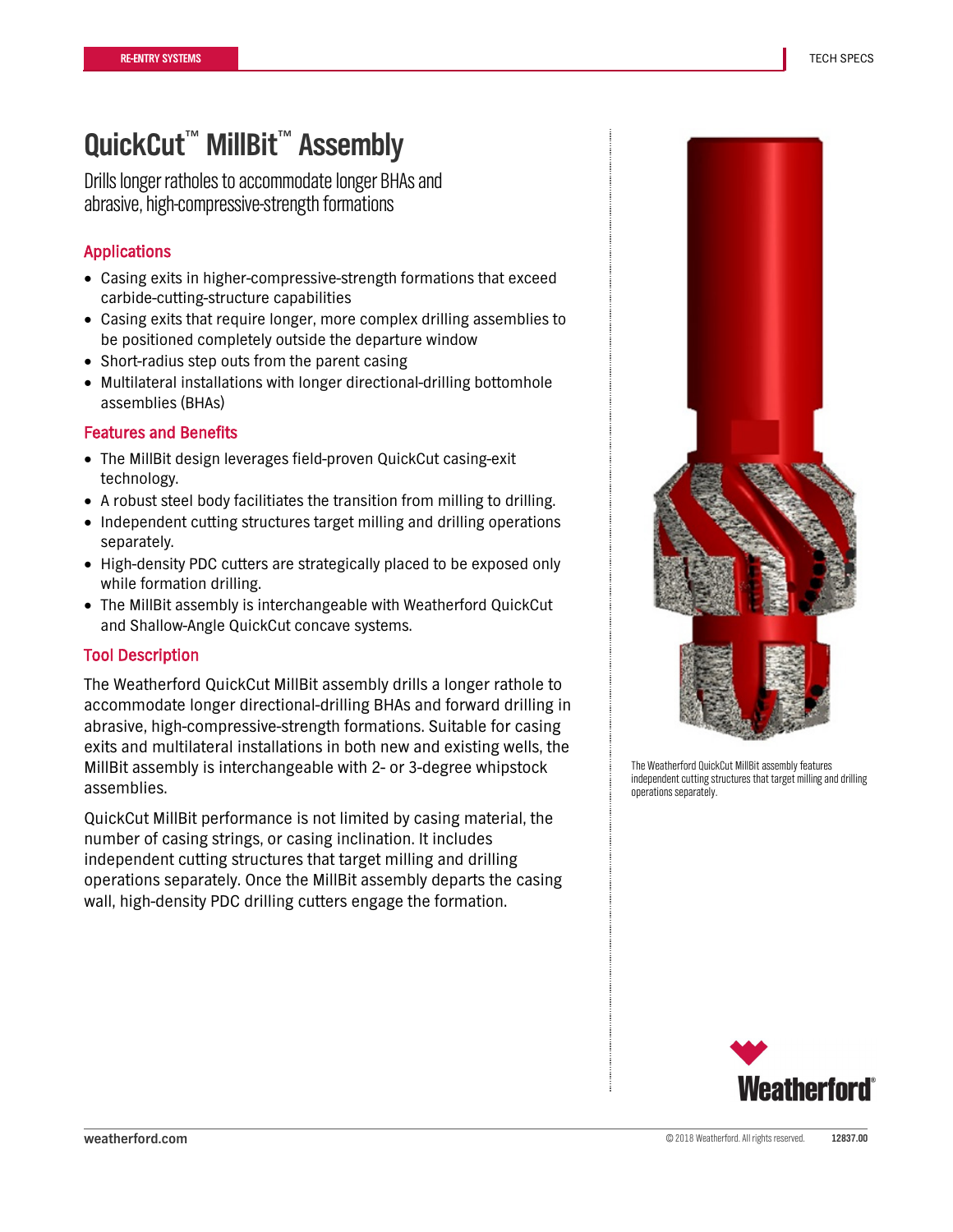## **QuickCut**™ **MillBit**™ **Assembly**

Drills longer ratholes to accommodate longer BHAs and abrasive, high-compressive-strength formations

### Applications

- Casing exits in higher-compressive-strength formations that exceed carbide-cutting-structure capabilities
- Casing exits that require longer, more complex drilling assemblies to be positioned completely outside the departure window
- Short-radius step outs from the parent casing
- Multilateral installations with longer directional-drilling bottomhole assemblies (BHAs)

#### Features and Benefits

- The MillBit design leverages field-proven QuickCut casing-exit technology.
- A robust steel body facilitiates the transition from milling to drilling.
- Independent cutting structures target milling and drilling operations separately.
- High-density PDC cutters are strategically placed to be exposed only while formation drilling.
- The MillBit assembly is interchangeable with Weatherford QuickCut and Shallow-Angle QuickCut concave systems.

### Tool Description

The Weatherford QuickCut MillBit assembly drills a longer rathole to accommodate longer directional-drilling BHAs and forward drilling in abrasive, high-compressive-strength formations. Suitable for casing exits and multilateral installations in both new and existing wells, the MillBit assembly is interchangeable with 2- or 3-degree whipstock assemblies.

QuickCut MillBit performance is not limited by casing material, the number of casing strings, or casing inclination. It includes independent cutting structures that target milling and drilling operations separately. Once the MillBit assembly departs the casing wall, high-density PDC drilling cutters engage the formation.



The Weatherford QuickCut MillBit assembly features independent cutting structures that target milling and drilling operations separately.